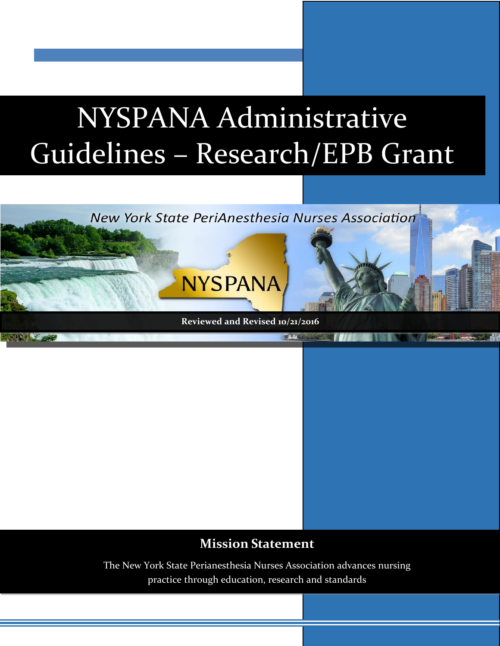# NYSPANA Administrative Guidelines – Research/EPB Grant



### **Mission Statement**

The New York State Perianesthesia Nurses Association advances nursing practice through education, research and standards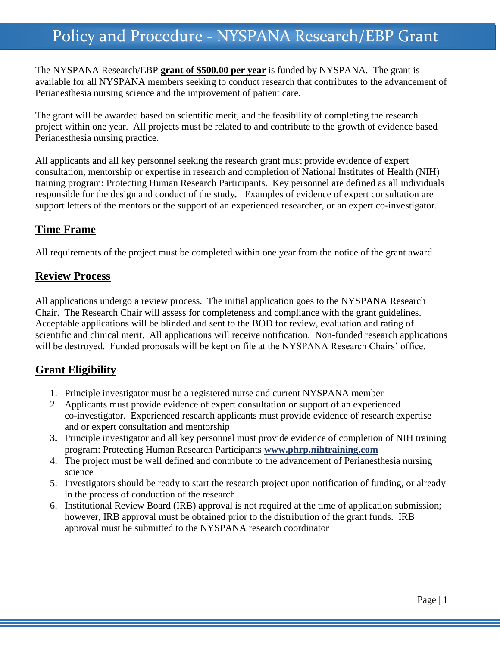### Policy and Procedure - NYSPANA Research/EBP Grant

The NYSPANA Research/EBP **grant of \$500.00 per year** is funded by NYSPANA. The grant is available for all NYSPANA members seeking to conduct research that contributes to the advancement of Perianesthesia nursing science and the improvement of patient care.

The grant will be awarded based on scientific merit, and the feasibility of completing the research project within one year. All projects must be related to and contribute to the growth of evidence based Perianesthesia nursing practice.

All applicants and all key personnel seeking the research grant must provide evidence of expert consultation, mentorship or expertise in research and completion of National Institutes of Health (NIH) training program: Protecting Human Research Participants. Key personnel are defined as all individuals responsible for the design and conduct of the study*.* Examples of evidence of expert consultation are support letters of the mentors or the support of an experienced researcher, or an expert co-investigator.

#### **Time Frame**

All requirements of the project must be completed within one year from the notice of the grant award

#### **Review Process**

All applications undergo a review process. The initial application goes to the NYSPANA Research Chair. The Research Chair will assess for completeness and compliance with the grant guidelines. Acceptable applications will be blinded and sent to the BOD for review, evaluation and rating of scientific and clinical merit. All applications will receive notification. Non-funded research applications will be destroyed. Funded proposals will be kept on file at the NYSPANA Research Chairs' office.

#### **Grant Eligibility**

- 1. Principle investigator must be a registered nurse and current NYSPANA member
- 2. Applicants must provide evidence of expert consultation or support of an experienced co-investigator. Experienced research applicants must provide evidence of research expertise and or expert consultation and mentorship
- **3.** Principle investigator and all key personnel must provide evidence of completion of NIH training program: Protecting Human Research Participants **[www.phrp.nihtraining.com](http://www.phrp.nihtraining.com/)**
- 4. The project must be well defined and contribute to the advancement of Perianesthesia nursing science
- 5. Investigators should be ready to start the research project upon notification of funding, or already in the process of conduction of the research
- 6. Institutional Review Board (IRB) approval is not required at the time of application submission; however, IRB approval must be obtained prior to the distribution of the grant funds. IRB approval must be submitted to the NYSPANA research coordinator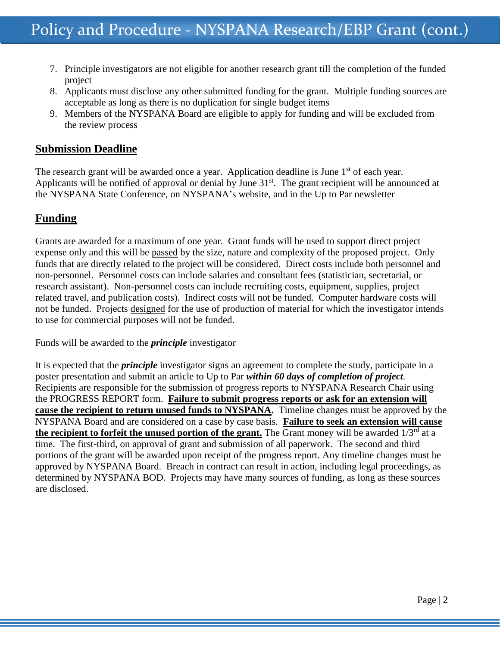- 7. Principle investigators are not eligible for another research grant till the completion of the funded project
- 8. Applicants must disclose any other submitted funding for the grant. Multiple funding sources are acceptable as long as there is no duplication for single budget items
- 9. Members of the NYSPANA Board are eligible to apply for funding and will be excluded from the review process

#### **Submission Deadline**

The research grant will be awarded once a year. Application deadline is June  $1<sup>st</sup>$  of each year. Applicants will be notified of approval or denial by June 31<sup>st</sup>. The grant recipient will be announced at the NYSPANA State Conference, on NYSPANA's website, and in the Up to Par newsletter

#### **Funding**

Grants are awarded for a maximum of one year. Grant funds will be used to support direct project expense only and this will be passed by the size, nature and complexity of the proposed project. Only funds that are directly related to the project will be considered. Direct costs include both personnel and non-personnel. Personnel costs can include salaries and consultant fees (statistician, secretarial, or research assistant). Non-personnel costs can include recruiting costs, equipment, supplies, project related travel, and publication costs). Indirect costs will not be funded. Computer hardware costs will not be funded. Projects designed for the use of production of material for which the investigator intends to use for commercial purposes will not be funded.

Funds will be awarded to the *principle* investigator

It is expected that the *principle* investigator signs an agreement to complete the study, participate in a poster presentation and submit an article to Up to Par *within 60 days of completion of project.* Recipients are responsible for the submission of progress reports to NYSPANA Research Chair using the PROGRESS REPORT form. **Failure to submit progress reports or ask for an extension will cause the recipient to return unused funds to NYSPANA.** Timeline changes must be approved by the NYSPANA Board and are considered on a case by case basis. **Failure to seek an extension will cause the recipient to forfeit the unused portion of the grant.** The Grant money will be awarded 1/3<sup>rd</sup> at a time. The first-third, on approval of grant and submission of all paperwork. The second and third portions of the grant will be awarded upon receipt of the progress report. Any timeline changes must be approved by NYSPANA Board. Breach in contract can result in action, including legal proceedings, as determined by NYSPANA BOD. Projects may have many sources of funding, as long as these sources are disclosed.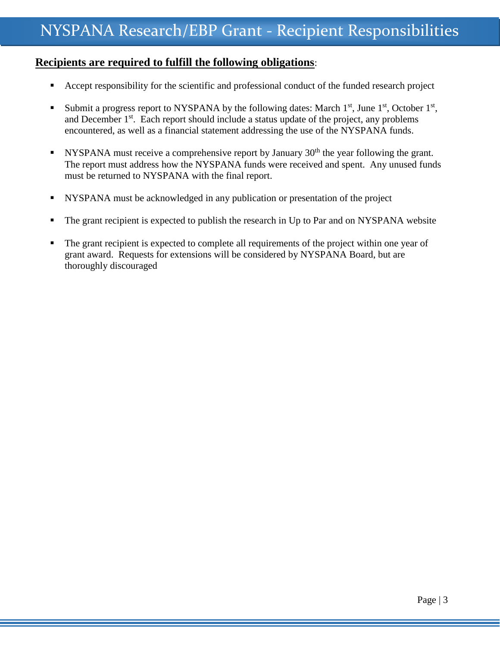#### **Recipients are required to fulfill the following obligations**:

- Accept responsibility for the scientific and professional conduct of the funded research project
- Submit a progress report to NYSPANA by the following dates: March  $1<sup>st</sup>$ , June  $1<sup>st</sup>$ , October  $1<sup>st</sup>$ , and December 1<sup>st</sup>. Each report should include a status update of the project, any problems encountered, as well as a financial statement addressing the use of the NYSPANA funds.
- NYSPANA must receive a comprehensive report by January  $30<sup>th</sup>$  the year following the grant. The report must address how the NYSPANA funds were received and spent. Any unused funds must be returned to NYSPANA with the final report.
- NYSPANA must be acknowledged in any publication or presentation of the project
- The grant recipient is expected to publish the research in Up to Par and on NYSPANA website
- The grant recipient is expected to complete all requirements of the project within one year of grant award. Requests for extensions will be considered by NYSPANA Board, but are thoroughly discouraged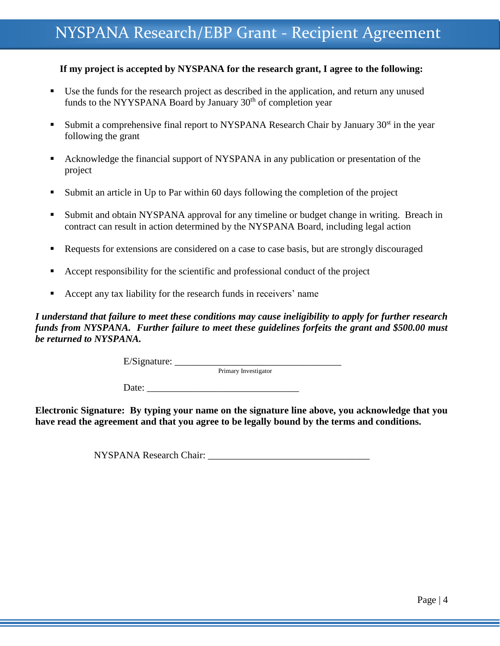### NYSPANA Research/EBP Grant - Recipient Agreement

#### **If my project is accepted by NYSPANA for the research grant, I agree to the following:**

- Use the funds for the research project as described in the application, and return any unused funds to the NYYSPANA Board by January 30<sup>th</sup> of completion year
- Submit a comprehensive final report to NYSPANA Research Chair by January  $30<sup>st</sup>$  in the year following the grant
- Acknowledge the financial support of NYSPANA in any publication or presentation of the project
- Submit an article in Up to Par within 60 days following the completion of the project
- Submit and obtain NYSPANA approval for any timeline or budget change in writing. Breach in contract can result in action determined by the NYSPANA Board, including legal action
- Requests for extensions are considered on a case to case basis, but are strongly discouraged
- Accept responsibility for the scientific and professional conduct of the project
- Accept any tax liability for the research funds in receivers' name

*I understand that failure to meet these conditions may cause ineligibility to apply for further research funds from NYSPANA. Further failure to meet these guidelines forfeits the grant and \$500.00 must be returned to NYSPANA.*

E/Signature: \_\_\_\_\_\_\_\_\_\_\_\_\_\_\_\_\_\_\_\_\_\_\_\_\_\_\_\_\_\_\_\_\_\_

Primary Investigator

Date:

**Electronic Signature: By typing your name on the signature line above, you acknowledge that you have read the agreement and that you agree to be legally bound by the terms and conditions.**

NYSPANA Research Chair: \_\_\_\_\_\_\_\_\_\_\_\_\_\_\_\_\_\_\_\_\_\_\_\_\_\_\_\_\_\_\_\_\_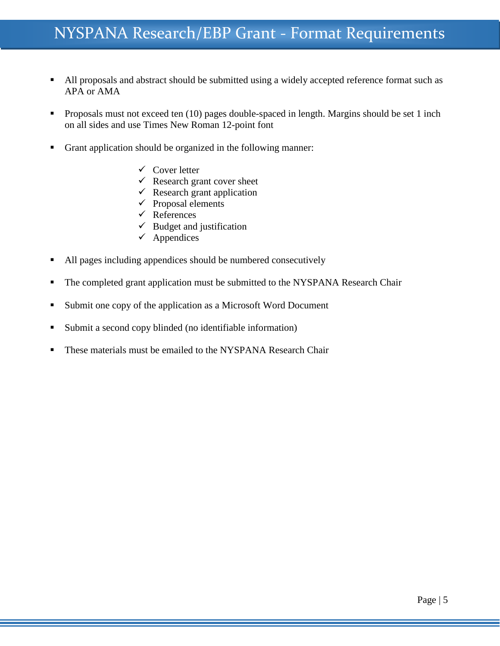- All proposals and abstract should be submitted using a widely accepted reference format such as APA or AMA
- **Proposals must not exceed ten** (10) pages double-spaced in length. Margins should be set 1 inch on all sides and use Times New Roman 12-point font
- Grant application should be organized in the following manner:
	- $\checkmark$  Cover letter
	- $\checkmark$  Research grant cover sheet
	- $\checkmark$  Research grant application
	- $\checkmark$  Proposal elements
	- $\checkmark$  References
	- $\checkmark$  Budget and justification
	- $\checkmark$  Appendices
- All pages including appendices should be numbered consecutively
- The completed grant application must be submitted to the NYSPANA Research Chair
- Submit one copy of the application as a Microsoft Word Document
- Submit a second copy blinded (no identifiable information)
- **These materials must be emailed to the NYSPANA Research Chair**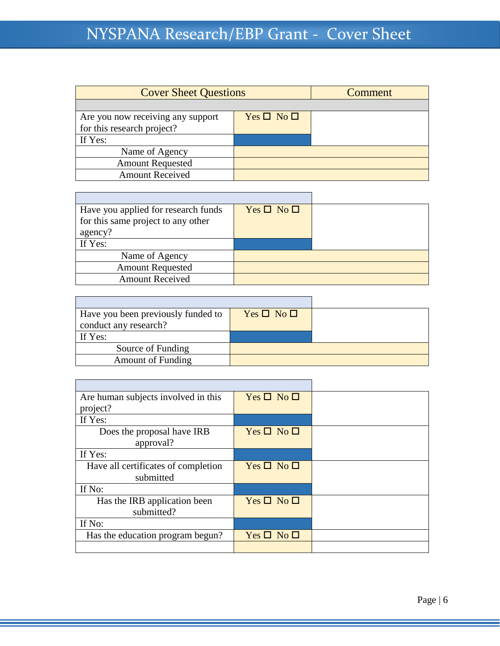| <b>Cover Sheet Questions</b>      |                    | Comment |
|-----------------------------------|--------------------|---------|
|                                   |                    |         |
| Are you now receiving any support | $Yes \Box No \Box$ |         |
| for this research project?        |                    |         |
| If Yes:                           |                    |         |
| Name of Agency                    |                    |         |
| <b>Amount Requested</b>           |                    |         |
| <b>Amount Received</b>            |                    |         |

| Have you applied for research funds | $Yes \Box No \Box$ |  |
|-------------------------------------|--------------------|--|
| for this same project to any other  |                    |  |
| agency?                             |                    |  |
| If Yes:                             |                    |  |
| Name of Agency                      |                    |  |
| <b>Amount Requested</b>             |                    |  |
| <b>Amount Received</b>              |                    |  |

| Have you been previously funded to | $Yes \Box No \Box$ |  |
|------------------------------------|--------------------|--|
| conduct any research?              |                    |  |
| If Yes:                            |                    |  |
| Source of Funding                  |                    |  |
| <b>Amount of Funding</b>           |                    |  |

| Are human subjects involved in this | $Yes \Box No \Box$ |  |
|-------------------------------------|--------------------|--|
| project?                            |                    |  |
| If Yes:                             |                    |  |
| Does the proposal have IRB          | $Yes \Box No \Box$ |  |
| approval?                           |                    |  |
| If Yes:                             |                    |  |
| Have all certificates of completion | $Yes \Box No \Box$ |  |
| submitted                           |                    |  |
| If No:                              |                    |  |
| Has the IRB application been        | $Yes \Box No \Box$ |  |
| submitted?                          |                    |  |
| If No:                              |                    |  |
| Has the education program begun?    | $Yes \Box No \Box$ |  |
|                                     |                    |  |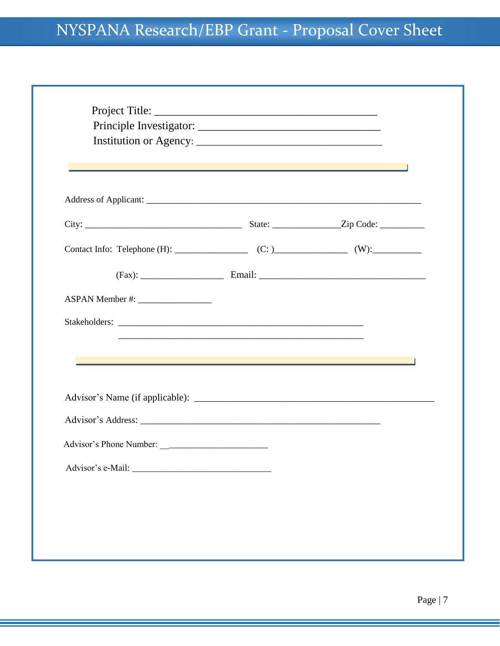## NYSPANA Research/EBP Grant - Proposal Cover Sheet

|  | $\mathcal{L}(\mathcal{L}(\mathcal{L}(\mathcal{L}(\mathcal{L}(\mathcal{L}(\mathcal{L}(\mathcal{L}(\mathcal{L}(\mathcal{L}(\mathcal{L}(\mathcal{L}(\mathcal{L}(\mathcal{L}(\mathcal{L}(\mathcal{L}(\mathcal{L}(\mathcal{L}(\mathcal{L}(\mathcal{L}(\mathcal{L}(\mathcal{L}(\mathcal{L}(\mathcal{L}(\mathcal{L}(\mathcal{L}(\mathcal{L}(\mathcal{L}(\mathcal{L}(\mathcal{L}(\mathcal{L}(\mathcal{L}(\mathcal{L}(\mathcal{L}(\mathcal{L}(\mathcal{L}(\mathcal{$ |
|--|-------------------------------------------------------------------------------------------------------------------------------------------------------------------------------------------------------------------------------------------------------------------------------------------------------------------------------------------------------------------------------------------------------------------------------------------------------------|
|  |                                                                                                                                                                                                                                                                                                                                                                                                                                                             |
|  |                                                                                                                                                                                                                                                                                                                                                                                                                                                             |
|  |                                                                                                                                                                                                                                                                                                                                                                                                                                                             |
|  |                                                                                                                                                                                                                                                                                                                                                                                                                                                             |
|  |                                                                                                                                                                                                                                                                                                                                                                                                                                                             |
|  |                                                                                                                                                                                                                                                                                                                                                                                                                                                             |
|  |                                                                                                                                                                                                                                                                                                                                                                                                                                                             |
|  |                                                                                                                                                                                                                                                                                                                                                                                                                                                             |
|  |                                                                                                                                                                                                                                                                                                                                                                                                                                                             |
|  |                                                                                                                                                                                                                                                                                                                                                                                                                                                             |
|  |                                                                                                                                                                                                                                                                                                                                                                                                                                                             |
|  |                                                                                                                                                                                                                                                                                                                                                                                                                                                             |
|  |                                                                                                                                                                                                                                                                                                                                                                                                                                                             |
|  |                                                                                                                                                                                                                                                                                                                                                                                                                                                             |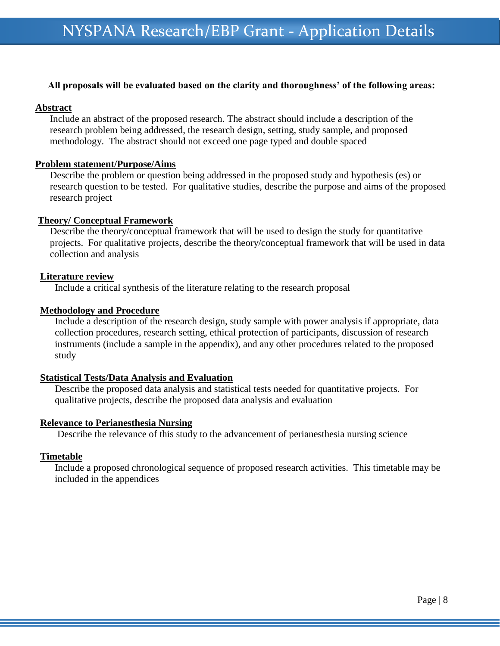#### **All proposals will be evaluated based on the clarity and thoroughness' of the following areas:**

#### **Abstract**

Include an abstract of the proposed research. The abstract should include a description of the research problem being addressed, the research design, setting, study sample, and proposed methodology. The abstract should not exceed one page typed and double spaced

#### **Problem statement/Purpose/Aims**

Describe the problem or question being addressed in the proposed study and hypothesis (es) or research question to be tested. For qualitative studies, describe the purpose and aims of the proposed research project

#### **Theory/ Conceptual Framework**

Describe the theory/conceptual framework that will be used to design the study for quantitative projects. For qualitative projects, describe the theory/conceptual framework that will be used in data collection and analysis

#### **Literature review**

Include a critical synthesis of the literature relating to the research proposal

#### **Methodology and Procedure**

Include a description of the research design, study sample with power analysis if appropriate, data collection procedures, research setting, ethical protection of participants, discussion of research instruments (include a sample in the appendix), and any other procedures related to the proposed study

#### **Statistical Tests/Data Analysis and Evaluation**

Describe the proposed data analysis and statistical tests needed for quantitative projects. For qualitative projects, describe the proposed data analysis and evaluation

#### **Relevance to Perianesthesia Nursing**

Describe the relevance of this study to the advancement of perianesthesia nursing science

#### **Timetable**

Include a proposed chronological sequence of proposed research activities. This timetable may be included in the appendices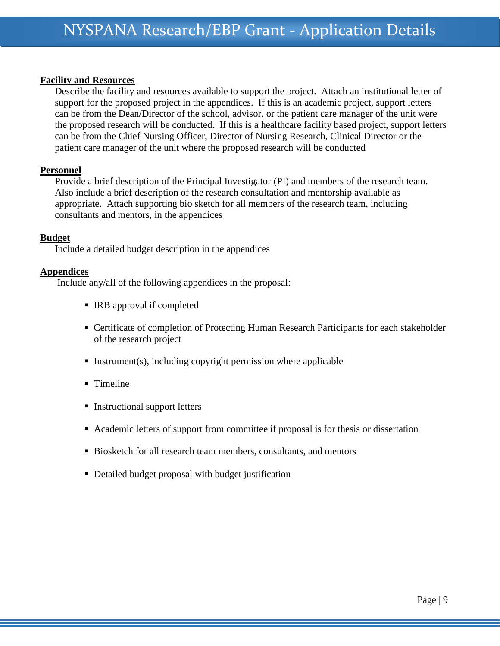#### **Facility and Resources**

Describe the facility and resources available to support the project. Attach an institutional letter of support for the proposed project in the appendices. If this is an academic project, support letters can be from the Dean/Director of the school, advisor, or the patient care manager of the unit were the proposed research will be conducted. If this is a healthcare facility based project, support letters can be from the Chief Nursing Officer, Director of Nursing Research, Clinical Director or the patient care manager of the unit where the proposed research will be conducted

#### **Personnel**

Provide a brief description of the Principal Investigator (PI) and members of the research team. Also include a brief description of the research consultation and mentorship available as appropriate. Attach supporting bio sketch for all members of the research team, including consultants and mentors, in the appendices

#### **Budget**

Include a detailed budget description in the appendices

#### **Appendices**

Include any/all of the following appendices in the proposal:

- IRB approval if completed
- Certificate of completion of Protecting Human Research Participants for each stakeholder of the research project
- Instrument(s), including copyright permission where applicable
- Timeline
- Instructional support letters
- Academic letters of support from committee if proposal is for thesis or dissertation
- Biosketch for all research team members, consultants, and mentors
- Detailed budget proposal with budget justification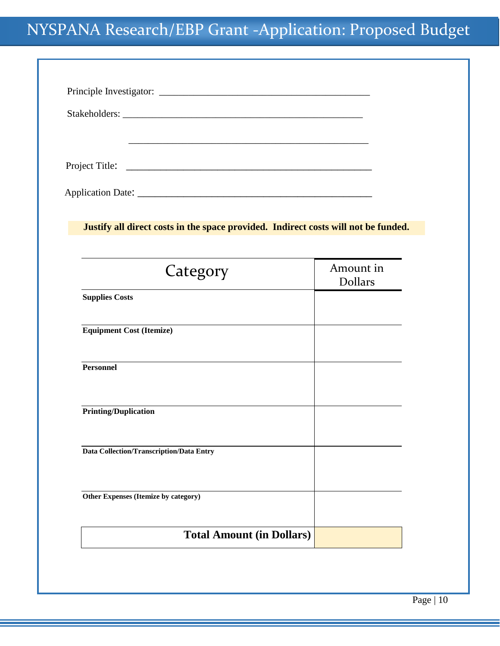| Justify all direct costs in the space provided. Indirect costs will not be funded. |                             |
|------------------------------------------------------------------------------------|-----------------------------|
|                                                                                    |                             |
| Category                                                                           | Amount in<br><b>Dollars</b> |
| <b>Supplies Costs</b>                                                              |                             |
| <b>Equipment Cost (Itemize)</b>                                                    |                             |
| <b>Personnel</b>                                                                   |                             |
| <b>Printing/Duplication</b>                                                        |                             |
| Data Collection/Transcription/Data Entry                                           |                             |
| Other Expenses (Itemize by category)                                               |                             |
|                                                                                    |                             |